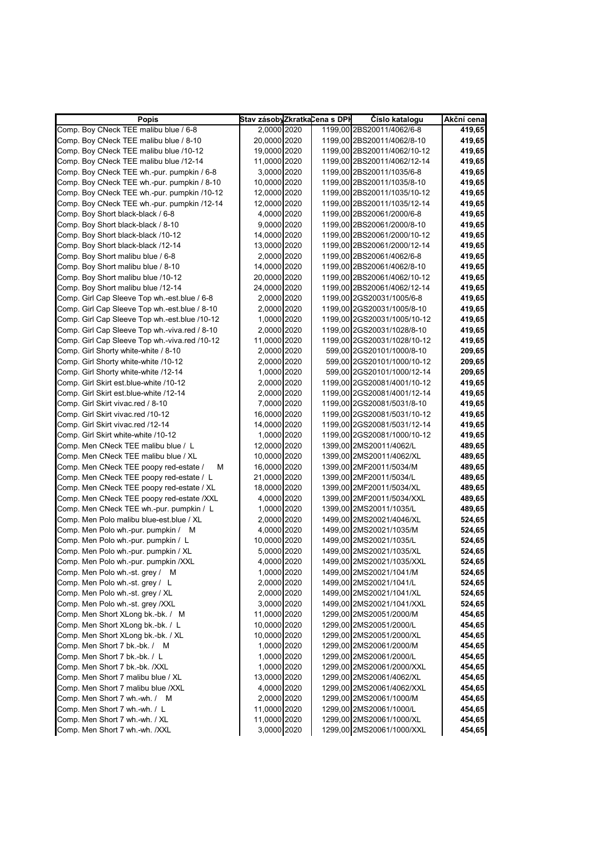| <b>Popis</b>                                  | Stav zásobyZkratkaCena s DPH |  | Císlo katalogu              | Akční cena |
|-----------------------------------------------|------------------------------|--|-----------------------------|------------|
| Comp. Boy CNeck TEE malibu blue / 6-8         | 2,0000 2020                  |  | 1199,00 2BS20011/4062/6-8   | 419,65     |
| Comp. Boy CNeck TEE malibu blue / 8-10        | 20,0000 2020                 |  | 1199,00 2BS20011/4062/8-10  | 419,65     |
| Comp. Boy CNeck TEE malibu blue /10-12        | 19,0000 2020                 |  | 1199,00 2BS20011/4062/10-12 | 419,65     |
| Comp. Boy CNeck TEE malibu blue /12-14        | 11,0000 2020                 |  | 1199,00 2BS20011/4062/12-14 | 419,65     |
| Comp. Boy CNeck TEE wh.-pur. pumpkin / 6-8    | 3,0000 2020                  |  | 1199,00 2BS20011/1035/6-8   | 419,65     |
| Comp. Boy CNeck TEE wh.-pur. pumpkin / 8-10   | 10,0000 2020                 |  | 1199,00 2BS20011/1035/8-10  | 419,65     |
| Comp. Boy CNeck TEE wh.-pur. pumpkin /10-12   | 12,0000 2020                 |  | 1199,00 2BS20011/1035/10-12 | 419,65     |
| Comp. Boy CNeck TEE wh.-pur. pumpkin /12-14   | 12,0000 2020                 |  | 1199,00 2BS20011/1035/12-14 | 419,65     |
| Comp. Boy Short black-black / 6-8             | 4,0000 2020                  |  | 1199,00 2BS20061/2000/6-8   | 419,65     |
| Comp. Boy Short black-black / 8-10            | 9,0000 2020                  |  | 1199,00 2BS20061/2000/8-10  | 419,65     |
| Comp. Boy Short black-black /10-12            | 14,0000 2020                 |  | 1199,00 2BS20061/2000/10-12 | 419,65     |
| Comp. Boy Short black-black /12-14            | 13,0000 2020                 |  | 1199,00 2BS20061/2000/12-14 | 419,65     |
| Comp. Boy Short malibu blue / 6-8             | 2,0000 2020                  |  | 1199,00 2BS20061/4062/6-8   | 419,65     |
| Comp. Boy Short malibu blue / 8-10            | 14,0000 2020                 |  | 1199,00 2BS20061/4062/8-10  | 419,65     |
| Comp. Boy Short malibu blue /10-12            | 20,0000 2020                 |  | 1199,00 2BS20061/4062/10-12 | 419,65     |
| Comp. Boy Short malibu blue /12-14            | 24,0000 2020                 |  | 1199,00 2BS20061/4062/12-14 | 419,65     |
| Comp. Girl Cap Sleeve Top wh.-est.blue / 6-8  | 2,0000 2020                  |  | 1199,00 2GS20031/1005/6-8   | 419,65     |
| Comp. Girl Cap Sleeve Top wh.-est.blue / 8-10 | 2,0000 2020                  |  | 1199,00 2GS20031/1005/8-10  | 419,65     |
| Comp. Girl Cap Sleeve Top wh.-est.blue /10-12 | 1,0000 2020                  |  | 1199,00 2GS20031/1005/10-12 | 419,65     |
| Comp. Girl Cap Sleeve Top wh.-viva.red / 8-10 | 2,0000 2020                  |  | 1199,00 2GS20031/1028/8-10  | 419,65     |
| Comp. Girl Cap Sleeve Top wh.-viva.red /10-12 | 11,0000 2020                 |  | 1199,00 2GS20031/1028/10-12 | 419,65     |
| Comp. Girl Shorty white-white / 8-10          | 2,0000 2020                  |  | 599,00 2GS20101/1000/8-10   | 209,65     |
| Comp. Girl Shorty white-white /10-12          | 2,0000 2020                  |  | 599,00 2GS20101/1000/10-12  | 209,65     |
| Comp. Girl Shorty white-white /12-14          | 1,0000 2020                  |  | 599,00 2GS20101/1000/12-14  | 209,65     |
| Comp. Girl Skirt est.blue-white /10-12        | 2,0000 2020                  |  | 1199,00 2GS20081/4001/10-12 | 419,65     |
| Comp. Girl Skirt est.blue-white /12-14        | 2,0000 2020                  |  | 1199,00 2GS20081/4001/12-14 | 419,65     |
| Comp. Girl Skirt vivac.red / 8-10             | 7,0000 2020                  |  | 1199,00 2GS20081/5031/8-10  | 419,65     |
| Comp. Girl Skirt vivac.red /10-12             | 16,0000 2020                 |  | 1199,00 2GS20081/5031/10-12 | 419,65     |
| Comp. Girl Skirt vivac.red /12-14             | 14,0000 2020                 |  | 1199,00 2GS20081/5031/12-14 | 419,65     |
| Comp. Girl Skirt white-white /10-12           | 1,0000 2020                  |  | 1199,00 2GS20081/1000/10-12 | 419,65     |
| Comp. Men CNeck TEE malibu blue / L           | 12,0000 2020                 |  | 1399,00 2MS20011/4062/L     | 489,65     |
| Comp. Men CNeck TEE malibu blue / XL          | 10,0000 2020                 |  | 1399,00 2MS20011/4062/XL    | 489,65     |
| Comp. Men CNeck TEE poopy red-estate /<br>М   | 16,0000 2020                 |  | 1399,00 2MF20011/5034/M     | 489,65     |
| Comp. Men CNeck TEE poopy red-estate / L      | 21,0000 2020                 |  | 1399,00 2MF20011/5034/L     | 489,65     |
| Comp. Men CNeck TEE poopy red-estate / XL     | 18,0000 2020                 |  | 1399,00 2MF20011/5034/XL    | 489,65     |
| Comp. Men CNeck TEE poopy red-estate /XXL     | 4,0000 2020                  |  | 1399,00 2MF20011/5034/XXL   | 489,65     |
| Comp. Men CNeck TEE wh.-pur. pumpkin / L      | 1,0000 2020                  |  | 1399,00 2MS20011/1035/L     | 489,65     |
| Comp. Men Polo malibu blue-est.blue / XL      | 2,0000 2020                  |  | 1499,00 2MS20021/4046/XL    | 524,65     |
| Comp. Men Polo wh.-pur. pumpkin / M           | 4,0000 2020                  |  | 1499,00 2MS20021/1035/M     | 524,65     |
| Comp. Men Polo wh.-pur. pumpkin / L           | 10,0000 2020                 |  | 1499,00 2MS20021/1035/L     | 524,65     |
| Comp. Men Polo wh.-pur. pumpkin / XL          | 5,0000 2020                  |  | 1499,00 2MS20021/1035/XL    | 524,65     |
| Comp. Men Polo wh.-pur. pumpkin /XXL          | 4,0000 2020                  |  | 1499,00 2MS20021/1035/XXL   | 524,65     |
| Comp. Men Polo wh.-st. grey / M               | 1,0000 2020                  |  | 1499,00 2MS20021/1041/M     | 524,65     |
| Comp. Men Polo wh.-st. grey / L               | 2,0000 2020                  |  | 1499,00 2MS20021/1041/L     | 524,65     |
| Comp. Men Polo wh.-st. grey / XL              | 2,0000 2020                  |  | 1499,00 2MS20021/1041/XL    | 524,65     |
| Comp. Men Polo wh.-st. grey /XXL              | 3,0000 2020                  |  | 1499,00 2MS20021/1041/XXL   | 524,65     |
| Comp. Men Short XLong bk.-bk. / M             | 11,0000 2020                 |  | 1299,00 2MS20051/2000/M     | 454,65     |
| Comp. Men Short XLong bk.-bk. / L             | 10,0000 2020                 |  | 1299,00 2MS20051/2000/L     | 454,65     |
| Comp. Men Short XLong bk.-bk. / XL            | 10,0000 2020                 |  | 1299,00 2MS20051/2000/XL    | 454,65     |
| Comp. Men Short 7 bk.-bk. / M                 | 1,0000 2020                  |  | 1299,00 2MS20061/2000/M     | 454,65     |
| Comp. Men Short 7 bk.-bk. / L                 | 1,0000 2020                  |  | 1299,00 2MS20061/2000/L     | 454,65     |
| Comp. Men Short 7 bk.-bk. /XXL                | 1,0000 2020                  |  | 1299,00 2MS20061/2000/XXL   | 454,65     |
| Comp. Men Short 7 malibu blue / XL            | 13,0000 2020                 |  | 1299,00 2MS20061/4062/XL    | 454,65     |
| Comp. Men Short 7 malibu blue /XXL            | 4,0000 2020                  |  | 1299,00 2MS20061/4062/XXL   | 454,65     |
| Comp. Men Short 7 wh.-wh. / M                 | 2,0000 2020                  |  | 1299,00 2MS20061/1000/M     | 454,65     |
|                                               |                              |  |                             |            |
| Comp. Men Short 7 wh.-wh. / L                 | 11,0000 2020                 |  | 1299,00 2MS20061/1000/L     | 454,65     |
| Comp. Men Short 7 wh.-wh. / XL                | 11,0000 2020                 |  | 1299,00 2MS20061/1000/XL    | 454,65     |
| Comp. Men Short 7 wh.-wh. /XXL                | 3,0000 2020                  |  | 1299,00 2MS20061/1000/XXL   | 454,65     |